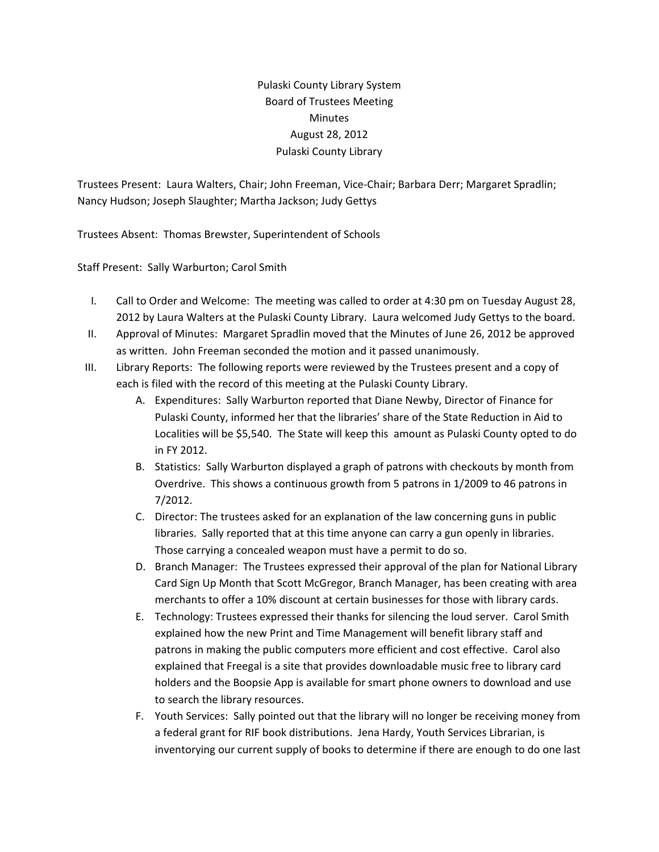Pulaski County Library System Board of Trustees Meeting **Minutes** August 28, 2012 Pulaski County Library

Trustees Present: Laura Walters, Chair; John Freeman, Vice‐Chair; Barbara Derr; Margaret Spradlin; Nancy Hudson; Joseph Slaughter; Martha Jackson; Judy Gettys

Trustees Absent: Thomas Brewster, Superintendent of Schools

Staff Present: Sally Warburton; Carol Smith

- I. Call to Order and Welcome: The meeting was called to order at 4:30 pm on Tuesday August 28, 2012 by Laura Walters at the Pulaski County Library. Laura welcomed Judy Gettys to the board.
- II. Approval of Minutes: Margaret Spradlin moved that the Minutes of June 26, 2012 be approved as written. John Freeman seconded the motion and it passed unanimously.
- III. Library Reports: The following reports were reviewed by the Trustees present and a copy of each is filed with the record of this meeting at the Pulaski County Library.
	- A. Expenditures: Sally Warburton reported that Diane Newby, Director of Finance for Pulaski County, informed her that the libraries' share of the State Reduction in Aid to Localities will be \$5,540. The State will keep this amount as Pulaski County opted to do in FY 2012.
	- B. Statistics: Sally Warburton displayed a graph of patrons with checkouts by month from Overdrive. This shows a continuous growth from 5 patrons in 1/2009 to 46 patrons in 7/2012.
	- C. Director: The trustees asked for an explanation of the law concerning guns in public libraries. Sally reported that at this time anyone can carry a gun openly in libraries. Those carrying a concealed weapon must have a permit to do so.
	- D. Branch Manager: The Trustees expressed their approval of the plan for National Library Card Sign Up Month that Scott McGregor, Branch Manager, has been creating with area merchants to offer a 10% discount at certain businesses for those with library cards.
	- E. Technology: Trustees expressed their thanks for silencing the loud server. Carol Smith explained how the new Print and Time Management will benefit library staff and patrons in making the public computers more efficient and cost effective. Carol also explained that Freegal is a site that provides downloadable music free to library card holders and the Boopsie App is available for smart phone owners to download and use to search the library resources.
	- F. Youth Services: Sally pointed out that the library will no longer be receiving money from a federal grant for RIF book distributions. Jena Hardy, Youth Services Librarian, is inventorying our current supply of books to determine if there are enough to do one last